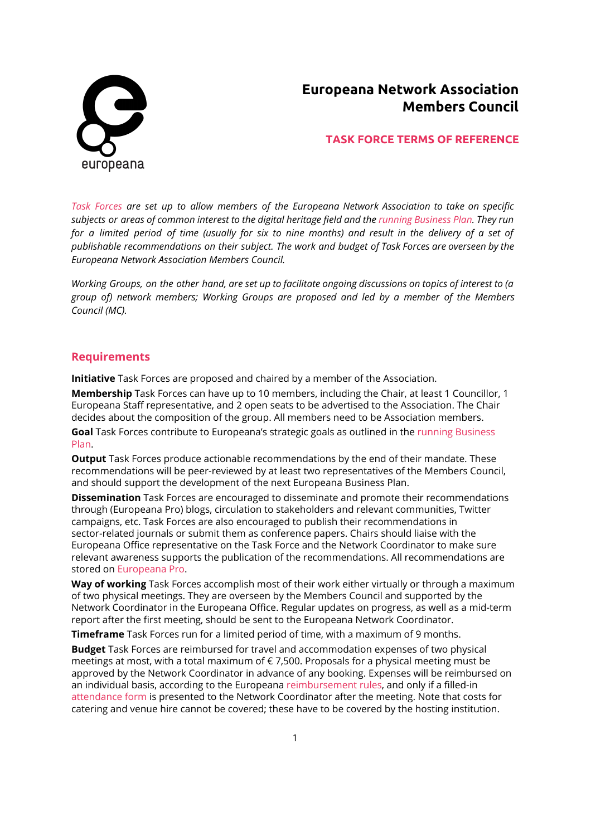

# **Europeana Network Association Members Council**

## **TASK FORCE TERMS OF REFERENCE**

*Task [Forces](http://pro.europeana.eu/structure/task-forces) are set up to allow members of the Europeana Network Association to take on specific* subjects or areas of common interest to the digital heritage field and the running [Business](http://pro.europeana.eu/publications) Plan. They run for a limited period of time (usually for six to nine months) and result in the delivery of a set of *publishable recommendations on their subject. The work and budget of Task Forces are overseen by the Europeana Network Association Members Council.*

Working Groups, on the other hand, are set up to facilitate ongoing discussions on topics of interest to (a *group of) network members; Working Groups are proposed and led by a member of the Members Council (MC).*

### **Requirements**

**Initiative** Task Forces are proposed and chaired by a member of the Association.

**Membership**Task Forces can have up to 10 members, including the Chair, at least 1 Councillor, 1 Europeana Staff representative, and 2 open seats to be advertised to the Association. The Chair decides about the composition of the group. All members need to be Association members.

**Goal**Task Forces contribute to Europeana's strategic goals as outlined in the running [Business](http://pro.europeana.eu/publications) [Plan.](http://pro.europeana.eu/publications)

**Output**Task Forces produce actionable recommendations by the end of their mandate. These recommendations will be peer-reviewed by at least two representatives of the Members Council, and should support the development of the next Europeana Business Plan.

**Dissemination**Task Forces are encouraged to disseminate and promote their recommendations through (Europeana Pro) blogs, circulation to stakeholders and relevant communities, Twitter campaigns, etc. Task Forces are also encouraged to publish their recommendations in sector-related journals or submit them as conference papers. Chairs should liaise with the Europeana Office representative on the Task Force and the Network Coordinator to make sure relevant awareness supports the publication of the recommendations. All recommendations are stored on [Europeana](http://pro.europeana.eu/get-involved/task-forces) Pro.

**Way of working**Task Forces accomplish most of their work either virtually or through a maximum of two physical meetings. They are overseen by the Members Council and supported by the Network Coordinator in the Europeana Office. Regular updates on progress, as well as a mid-term report after the first meeting, should be sent to the Europeana Network Coordinator.

**Timeframe**Task Forces run for a limited period of time, with a maximum of 9 months.

**Budget**Task Forces are reimbursed for travel and accommodation expenses of two physical meetings at most, with a total maximum of € 7,500. Proposals for a physical meeting must be approved by the Network Coordinator in advance of any booking. Expenses will be reimbursed on an individual basis, according to the Europeana [reimbursement](http://pro.europeana.eu/page/europeana-foundation-rules-for-the-reimbursement) rules, and only if a filled-in [attendance](http://pro.europeana.eu/files/Europeana_Professional/Europeana_Network/task-force-attendance-form.pdf) form is presented to the Network Coordinator after the meeting. Note that costs for catering and venue hire cannot be covered; these have to be covered by the hosting institution.